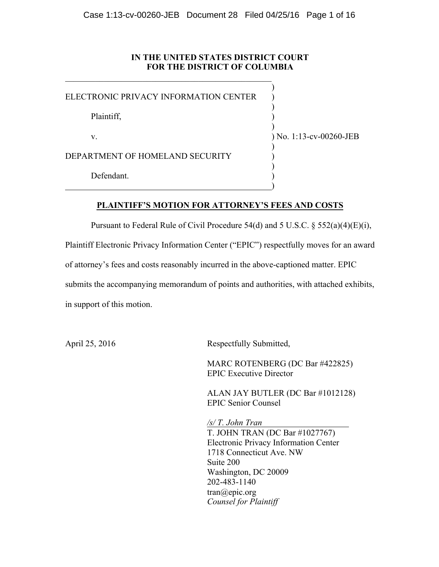# **IN THE UNITED STATES DISTRICT COURT FOR THE DISTRICT OF COLUMBIA**

ELECTRONIC PRIVACY INFORMATION CENTER )

 $\mathcal{L}_\text{max}$  and the contract of the contract of the contract of the contract of the contract of the contract of the contract of the contract of the contract of the contract of the contract of the contract of the contrac

Plaintiff, )

v. ) No. 1:13-cv-00260-JEB

)

)

)

)

)

)

DEPARTMENT OF HOMELAND SECURITY  $($ 

Defendant.

# **PLAINTIFF'S MOTION FOR ATTORNEY'S FEES AND COSTS**

Pursuant to Federal Rule of Civil Procedure 54(d) and 5 U.S.C. § 552(a)(4)(E)(i),

Plaintiff Electronic Privacy Information Center ("EPIC") respectfully moves for an award

of attorney's fees and costs reasonably incurred in the above-captioned matter. EPIC

submits the accompanying memorandum of points and authorities, with attached exhibits,

in support of this motion.

April 25, 2016 Respectfully Submitted,

MARC ROTENBERG (DC Bar #422825) EPIC Executive Director

ALAN JAY BUTLER (DC Bar #1012128) EPIC Senior Counsel

*/s/ T. John Tran*  T. JOHN TRAN (DC Bar #1027767) Electronic Privacy Information Center 1718 Connecticut Ave. NW Suite 200 Washington, DC 20009 202-483-1140 tran@epic.org *Counsel for Plaintiff*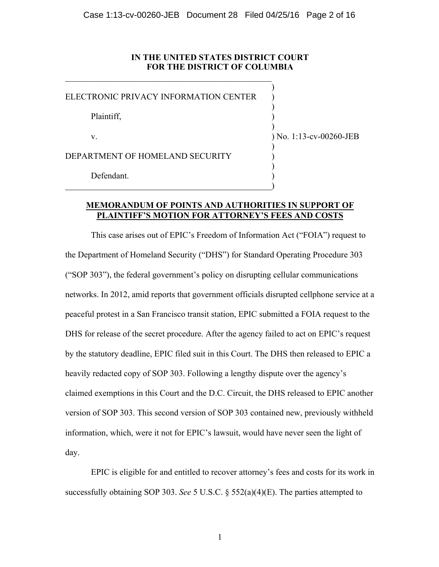# **IN THE UNITED STATES DISTRICT COURT FOR THE DISTRICT OF COLUMBIA**

ELECTRONIC PRIVACY INFORMATION CENTER )

 $\mathcal{L}_\text{max}$  and the contract of the contract of the contract of the contract of the contract of the contract of the contract of the contract of the contract of the contract of the contract of the contract of the contrac

Plaintiff, )

v. ) No. 1:13-cv-00260-JEB

)

)

)

)

)

)

DEPARTMENT OF HOMELAND SECURITY

Defendant.

# **MEMORANDUM OF POINTS AND AUTHORITIES IN SUPPORT OF PLAINTIFF'S MOTION FOR ATTORNEY'S FEES AND COSTS**

This case arises out of EPIC's Freedom of Information Act ("FOIA") request to the Department of Homeland Security ("DHS") for Standard Operating Procedure 303 ("SOP 303"), the federal government's policy on disrupting cellular communications networks. In 2012, amid reports that government officials disrupted cellphone service at a peaceful protest in a San Francisco transit station, EPIC submitted a FOIA request to the DHS for release of the secret procedure. After the agency failed to act on EPIC's request by the statutory deadline, EPIC filed suit in this Court. The DHS then released to EPIC a heavily redacted copy of SOP 303. Following a lengthy dispute over the agency's claimed exemptions in this Court and the D.C. Circuit, the DHS released to EPIC another version of SOP 303. This second version of SOP 303 contained new, previously withheld information, which, were it not for EPIC's lawsuit, would have never seen the light of day.

EPIC is eligible for and entitled to recover attorney's fees and costs for its work in successfully obtaining SOP 303. *See* 5 U.S.C. § 552(a)(4)(E). The parties attempted to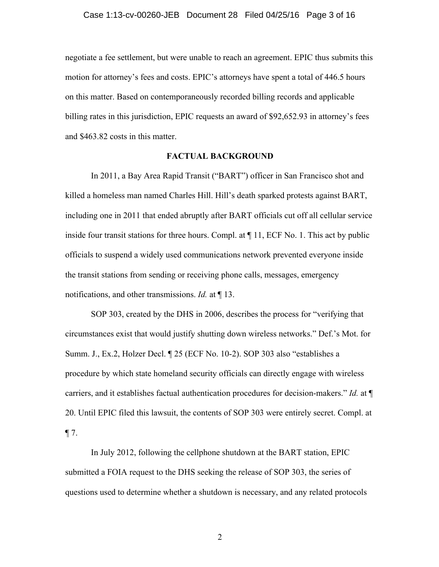negotiate a fee settlement, but were unable to reach an agreement. EPIC thus submits this motion for attorney's fees and costs. EPIC's attorneys have spent a total of 446.5 hours on this matter. Based on contemporaneously recorded billing records and applicable billing rates in this jurisdiction, EPIC requests an award of \$92,652.93 in attorney's fees and \$463.82 costs in this matter.

### **FACTUAL BACKGROUND**

In 2011, a Bay Area Rapid Transit ("BART") officer in San Francisco shot and killed a homeless man named Charles Hill. Hill's death sparked protests against BART, including one in 2011 that ended abruptly after BART officials cut off all cellular service inside four transit stations for three hours. Compl. at  $\P$  11, ECF No. 1. This act by public officials to suspend a widely used communications network prevented everyone inside the transit stations from sending or receiving phone calls, messages, emergency notifications, and other transmissions. *Id.* at ¶ 13.

SOP 303, created by the DHS in 2006, describes the process for "verifying that circumstances exist that would justify shutting down wireless networks." Def.'s Mot. for Summ. J., Ex.2, Holzer Decl. ¶ 25 (ECF No. 10-2). SOP 303 also "establishes a procedure by which state homeland security officials can directly engage with wireless carriers, and it establishes factual authentication procedures for decision-makers." *Id.* at ¶ 20. Until EPIC filed this lawsuit, the contents of SOP 303 were entirely secret. Compl. at  $\P$  7.

In July 2012, following the cellphone shutdown at the BART station, EPIC submitted a FOIA request to the DHS seeking the release of SOP 303, the series of questions used to determine whether a shutdown is necessary, and any related protocols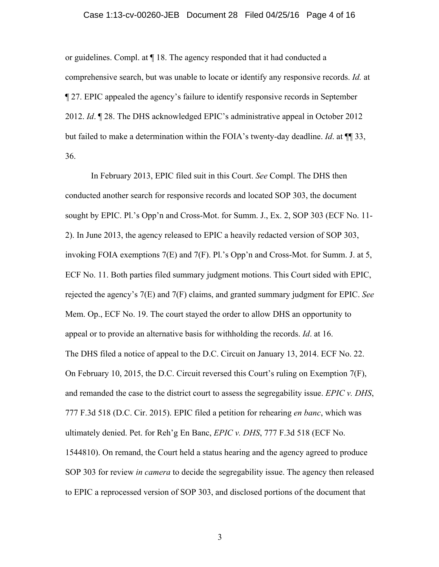#### Case 1:13-cv-00260-JEB Document 28 Filed 04/25/16 Page 4 of 16

or guidelines. Compl. at ¶ 18. The agency responded that it had conducted a comprehensive search, but was unable to locate or identify any responsive records. *Id.* at ¶ 27. EPIC appealed the agency's failure to identify responsive records in September 2012. *Id*. ¶ 28. The DHS acknowledged EPIC's administrative appeal in October 2012 but failed to make a determination within the FOIA's twenty-day deadline. *Id*. at ¶¶ 33, 36.

In February 2013, EPIC filed suit in this Court. *See* Compl. The DHS then conducted another search for responsive records and located SOP 303, the document sought by EPIC. Pl.'s Opp'n and Cross-Mot. for Summ. J., Ex. 2, SOP 303 (ECF No. 11- 2). In June 2013, the agency released to EPIC a heavily redacted version of SOP 303, invoking FOIA exemptions 7(E) and 7(F). Pl.'s Opp'n and Cross-Mot. for Summ. J. at 5, ECF No. 11. Both parties filed summary judgment motions. This Court sided with EPIC, rejected the agency's 7(E) and 7(F) claims, and granted summary judgment for EPIC. *See*  Mem. Op., ECF No. 19. The court stayed the order to allow DHS an opportunity to appeal or to provide an alternative basis for withholding the records. *Id*. at 16. The DHS filed a notice of appeal to the D.C. Circuit on January 13, 2014. ECF No. 22. On February 10, 2015, the D.C. Circuit reversed this Court's ruling on Exemption 7(F), and remanded the case to the district court to assess the segregability issue. *EPIC v. DHS*, 777 F.3d 518 (D.C. Cir. 2015). EPIC filed a petition for rehearing *en banc*, which was ultimately denied. Pet. for Reh'g En Banc, *EPIC v. DHS*, 777 F.3d 518 (ECF No. 1544810). On remand, the Court held a status hearing and the agency agreed to produce SOP 303 for review *in camera* to decide the segregability issue. The agency then released to EPIC a reprocessed version of SOP 303, and disclosed portions of the document that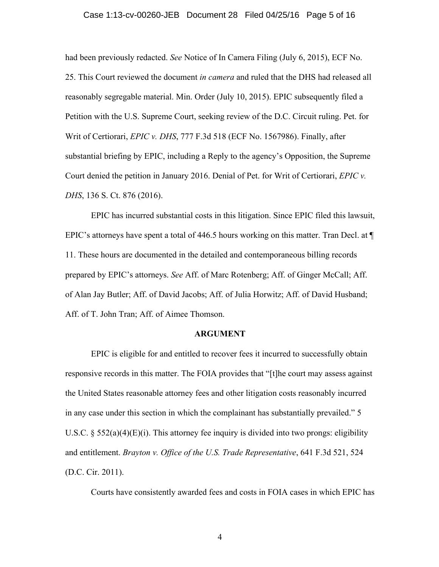#### Case 1:13-cv-00260-JEB Document 28 Filed 04/25/16 Page 5 of 16

had been previously redacted. *See* Notice of In Camera Filing (July 6, 2015), ECF No. 25. This Court reviewed the document *in camera* and ruled that the DHS had released all reasonably segregable material. Min. Order (July 10, 2015). EPIC subsequently filed a Petition with the U.S. Supreme Court, seeking review of the D.C. Circuit ruling. Pet. for Writ of Certiorari, *EPIC v. DHS*, 777 F.3d 518 (ECF No. 1567986). Finally, after substantial briefing by EPIC, including a Reply to the agency's Opposition, the Supreme Court denied the petition in January 2016. Denial of Pet. for Writ of Certiorari, *EPIC v. DHS*, 136 S. Ct. 876 (2016).

EPIC has incurred substantial costs in this litigation. Since EPIC filed this lawsuit, EPIC's attorneys have spent a total of 446.5 hours working on this matter. Tran Decl. at  $\P$ 11. These hours are documented in the detailed and contemporaneous billing records prepared by EPIC's attorneys. *See* Aff. of Marc Rotenberg; Aff. of Ginger McCall; Aff. of Alan Jay Butler; Aff. of David Jacobs; Aff. of Julia Horwitz; Aff. of David Husband; Aff. of T. John Tran; Aff. of Aimee Thomson.

### **ARGUMENT**

EPIC is eligible for and entitled to recover fees it incurred to successfully obtain responsive records in this matter. The FOIA provides that "[t]he court may assess against the United States reasonable attorney fees and other litigation costs reasonably incurred in any case under this section in which the complainant has substantially prevailed." 5 U.S.C.  $\S$  552(a)(4)(E)(i). This attorney fee inquiry is divided into two prongs: eligibility and entitlement. *Brayton v. Office of the U.S. Trade Representative*, 641 F.3d 521, 524 (D.C. Cir. 2011).

Courts have consistently awarded fees and costs in FOIA cases in which EPIC has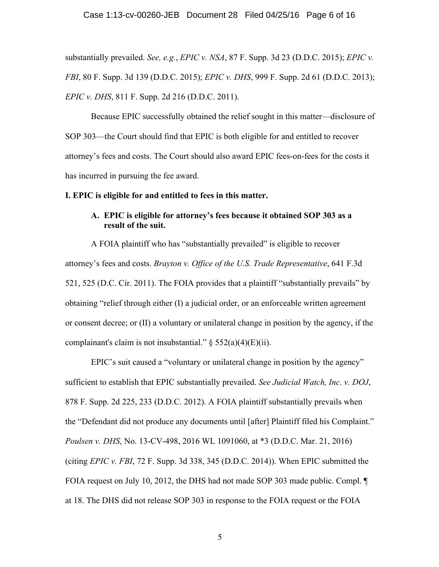### Case 1:13-cv-00260-JEB Document 28 Filed 04/25/16 Page 6 of 16

substantially prevailed. *See, e.g.*, *EPIC v. NSA*, 87 F. Supp. 3d 23 (D.D.C. 2015); *EPIC v. FBI*, 80 F. Supp. 3d 139 (D.D.C. 2015); *EPIC v. DHS*, 999 F. Supp. 2d 61 (D.D.C. 2013); *EPIC v. DHS*, 811 F. Supp. 2d 216 (D.D.C. 2011).

Because EPIC successfully obtained the relief sought in this matter—disclosure of SOP 303—the Court should find that EPIC is both eligible for and entitled to recover attorney's fees and costs. The Court should also award EPIC fees-on-fees for the costs it has incurred in pursuing the fee award.

### **I. EPIC is eligible for and entitled to fees in this matter.**

# **A. EPIC is eligible for attorney's fees because it obtained SOP 303 as a result of the suit.**

A FOIA plaintiff who has "substantially prevailed" is eligible to recover attorney's fees and costs. *Brayton v. Office of the U.S. Trade Representative*, 641 F.3d 521, 525 (D.C. Cir. 2011). The FOIA provides that a plaintiff "substantially prevails" by obtaining "relief through either (I) a judicial order, or an enforceable written agreement or consent decree; or (II) a voluntary or unilateral change in position by the agency, if the complainant's claim is not insubstantial."  $\S$  552(a)(4)(E)(ii).

EPIC's suit caused a "voluntary or unilateral change in position by the agency" sufficient to establish that EPIC substantially prevailed. *See Judicial Watch, Inc. v. DOJ*, 878 F. Supp. 2d 225, 233 (D.D.C. 2012). A FOIA plaintiff substantially prevails when the "Defendant did not produce any documents until [after] Plaintiff filed his Complaint." *Poulsen v. DHS*, No. 13-CV-498, 2016 WL 1091060, at \*3 (D.D.C. Mar. 21, 2016) (citing *EPIC v. FBI*, 72 F. Supp. 3d 338, 345 (D.D.C. 2014)). When EPIC submitted the FOIA request on July 10, 2012, the DHS had not made SOP 303 made public. Compl.  $\P$ at 18. The DHS did not release SOP 303 in response to the FOIA request or the FOIA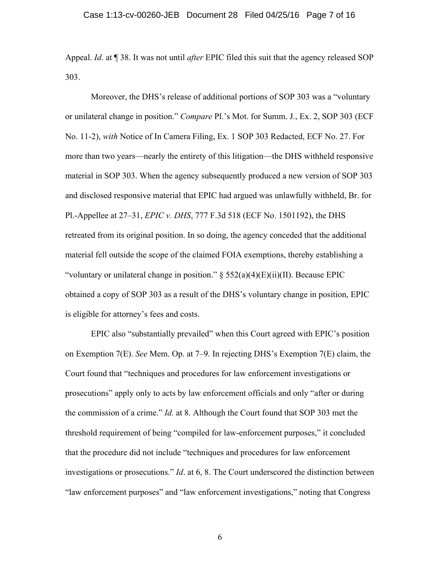Appeal. *Id*. at ¶ 38. It was not until *after* EPIC filed this suit that the agency released SOP 303.

Moreover, the DHS's release of additional portions of SOP 303 was a "voluntary or unilateral change in position." *Compare* Pl.'s Mot. for Summ. J., Ex. 2, SOP 303 (ECF No. 11-2), *with* Notice of In Camera Filing, Ex. 1 SOP 303 Redacted, ECF No. 27. For more than two years—nearly the entirety of this litigation—the DHS withheld responsive material in SOP 303. When the agency subsequently produced a new version of SOP 303 and disclosed responsive material that EPIC had argued was unlawfully withheld, Br. for Pl.-Appellee at 27–31, *EPIC v. DHS*, 777 F.3d 518 (ECF No. 1501192), the DHS retreated from its original position. In so doing, the agency conceded that the additional material fell outside the scope of the claimed FOIA exemptions, thereby establishing a "voluntary or unilateral change in position."  $\S$  552(a)(4)(E)(ii)(II). Because EPIC obtained a copy of SOP 303 as a result of the DHS's voluntary change in position, EPIC is eligible for attorney's fees and costs.

EPIC also "substantially prevailed" when this Court agreed with EPIC's position on Exemption 7(E). *See* Mem. Op. at 7–9. In rejecting DHS's Exemption 7(E) claim, the Court found that "techniques and procedures for law enforcement investigations or prosecutions" apply only to acts by law enforcement officials and only "after or during the commission of a crime." *Id.* at 8. Although the Court found that SOP 303 met the threshold requirement of being "compiled for law-enforcement purposes," it concluded that the procedure did not include "techniques and procedures for law enforcement investigations or prosecutions." *Id*. at 6, 8. The Court underscored the distinction between "law enforcement purposes" and "law enforcement investigations," noting that Congress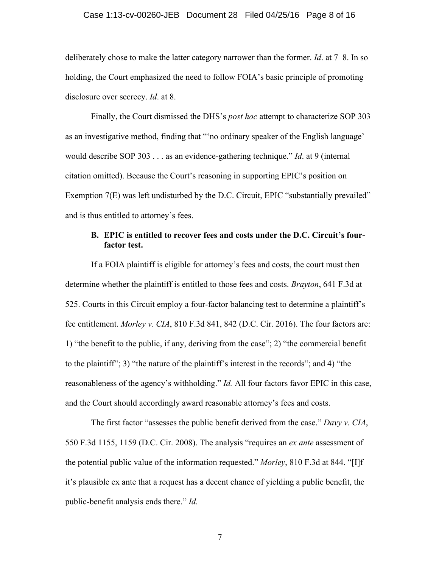### Case 1:13-cv-00260-JEB Document 28 Filed 04/25/16 Page 8 of 16

deliberately chose to make the latter category narrower than the former. *Id*. at 7–8. In so holding, the Court emphasized the need to follow FOIA's basic principle of promoting disclosure over secrecy. *Id*. at 8.

Finally, the Court dismissed the DHS's *post hoc* attempt to characterize SOP 303 as an investigative method, finding that "'no ordinary speaker of the English language' would describe SOP 303 . . . as an evidence-gathering technique." *Id*. at 9 (internal citation omitted). Because the Court's reasoning in supporting EPIC's position on Exemption 7(E) was left undisturbed by the D.C. Circuit, EPIC "substantially prevailed" and is thus entitled to attorney's fees.

# **B. EPIC is entitled to recover fees and costs under the D.C. Circuit's fourfactor test.**

If a FOIA plaintiff is eligible for attorney's fees and costs, the court must then determine whether the plaintiff is entitled to those fees and costs. *Brayton*, 641 F.3d at 525. Courts in this Circuit employ a four-factor balancing test to determine a plaintiff's fee entitlement. *Morley v. CIA*, 810 F.3d 841, 842 (D.C. Cir. 2016). The four factors are: 1) "the benefit to the public, if any, deriving from the case"; 2) "the commercial benefit to the plaintiff"; 3) "the nature of the plaintiff's interest in the records"; and 4) "the reasonableness of the agency's withholding." *Id.* All four factors favor EPIC in this case, and the Court should accordingly award reasonable attorney's fees and costs.

The first factor "assesses the public benefit derived from the case." *Davy v. CIA*, 550 F.3d 1155, 1159 (D.C. Cir. 2008). The analysis "requires an *ex ante* assessment of the potential public value of the information requested." *Morley*, 810 F.3d at 844. "[I]f it's plausible ex ante that a request has a decent chance of yielding a public benefit, the public-benefit analysis ends there." *Id.*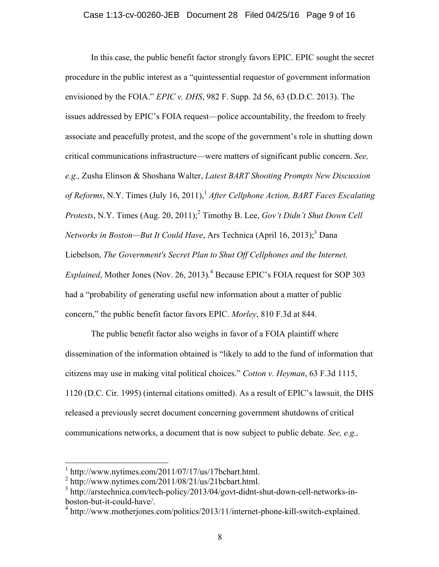In this case, the public benefit factor strongly favors EPIC. EPIC sought the secret procedure in the public interest as a "quintessential requestor of government information envisioned by the FOIA." *EPIC v. DHS*, 982 F. Supp. 2d 56, 63 (D.D.C. 2013). The issues addressed by EPIC's FOIA request—police accountability, the freedom to freely associate and peacefully protest, and the scope of the government's role in shutting down critical communications infrastructure—were matters of significant public concern. *See, e.g.,* Zusha Elinson & Shoshana Walter, *Latest BART Shooting Prompts New Discussion of Reforms*, N.Y. Times (July 16, 2011), <sup>1</sup> *After Cellphone Action, BART Faces Escalating Protests*, N.Y. Times (Aug. 20, 2011);<sup>2</sup> Timothy B. Lee, *Gov't Didn't Shut Down Cell Networks in Boston—But It Could Have*, Ars Technica (April 16, 2013); <sup>3</sup> Dana Liebelson, *The Government's Secret Plan to Shut Off Cellphones and the Internet, Explained*, Mother Jones (Nov. 26, 2013). <sup>4</sup> Because EPIC's FOIA request for SOP 303 had a "probability of generating useful new information about a matter of public concern," the public benefit factor favors EPIC. *Morley*, 810 F.3d at 844.

The public benefit factor also weighs in favor of a FOIA plaintiff where dissemination of the information obtained is "likely to add to the fund of information that citizens may use in making vital political choices." *Cotton v. Heyman*, 63 F.3d 1115, 1120 (D.C. Cir. 1995) (internal citations omitted). As a result of EPIC's lawsuit, the DHS released a previously secret document concerning government shutdowns of critical communications networks, a document that is now subject to public debate. *See, e.g.,*

 $1 \text{ http://www.nytimes.com/2011/07/17/us/17bcbart.html.}$ 

 $^{2}$  http://www.nytimes.com/2011/08/21/us/21bcbart.html.

<sup>&</sup>lt;sup>3</sup> http://arstechnica.com/tech-policy/2013/04/govt-didnt-shut-down-cell-networks-inboston-but-it-could-have/.

<sup>&</sup>lt;sup>4</sup> http://www.motherjones.com/politics/2013/11/internet-phone-kill-switch-explained.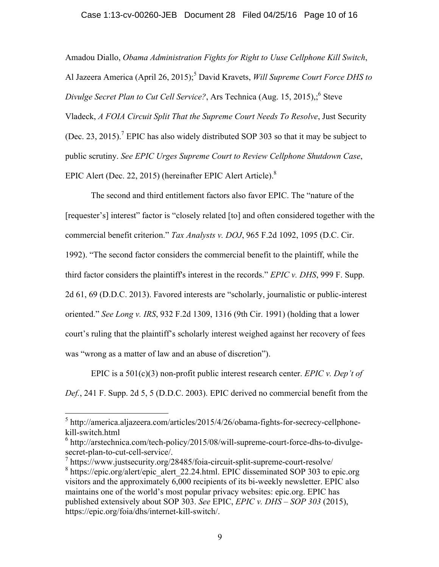### Case 1:13-cv-00260-JEB Document 28 Filed 04/25/16 Page 10 of 16

Amadou Diallo, *Obama Administration Fights for Right to Uuse Cellphone Kill Switch*, Al Jazeera America (April 26, 2015);<sup>5</sup> David Kravets, *Will Supreme Court Force DHS to Divulge Secret Plan to Cut Cell Service?*, Ars Technica (Aug. 15, 2015);<sup>6</sup> Steve Vladeck, *A FOIA Circuit Split That the Supreme Court Needs To Resolve*, Just Security (Dec. 23, 2015).<sup>7</sup> EPIC has also widely distributed SOP 303 so that it may be subject to public scrutiny. *See EPIC Urges Supreme Court to Review Cellphone Shutdown Case*, EPIC Alert (Dec. 22, 2015) (hereinafter EPIC Alert Article).<sup>8</sup>

The second and third entitlement factors also favor EPIC. The "nature of the [requester's] interest" factor is "closely related [to] and often considered together with the commercial benefit criterion." *Tax Analysts v. DOJ*, 965 F.2d 1092, 1095 (D.C. Cir. 1992). "The second factor considers the commercial benefit to the plaintiff, while the third factor considers the plaintiff's interest in the records." *EPIC v. DHS*, 999 F. Supp. 2d 61, 69 (D.D.C. 2013). Favored interests are "scholarly, journalistic or public-interest oriented." *See Long v. IRS*, 932 F.2d 1309, 1316 (9th Cir. 1991) (holding that a lower court's ruling that the plaintiff's scholarly interest weighed against her recovery of fees was "wrong as a matter of law and an abuse of discretion").

EPIC is a 501(c)(3) non-profit public interest research center. *EPIC v. Dep't of Def.*, 241 F. Supp. 2d 5, 5 (D.D.C. 2003). EPIC derived no commercial benefit from the

 $5$  http://america.aljazeera.com/articles/2015/4/26/obama-fights-for-secrecy-cellphonekill-switch.html

 $6$  http://arstechnica.com/tech-policy/2015/08/will-supreme-court-force-dhs-to-divulgesecret-plan-to-cut-cell-service/.

 $^7$  https://www.justsecurity.org/28485/foia-circuit-split-supreme-court-resolve/

 $8$  https://epic.org/alert/epic\_alert\_22.24.html. EPIC disseminated SOP 303 to epic.org visitors and the approximately 6,000 recipients of its bi-weekly newsletter. EPIC also maintains one of the world's most popular privacy websites: epic.org. EPIC has published extensively about SOP 303. *See* EPIC, *EPIC v. DHS – SOP 303* (2015), https://epic.org/foia/dhs/internet-kill-switch/.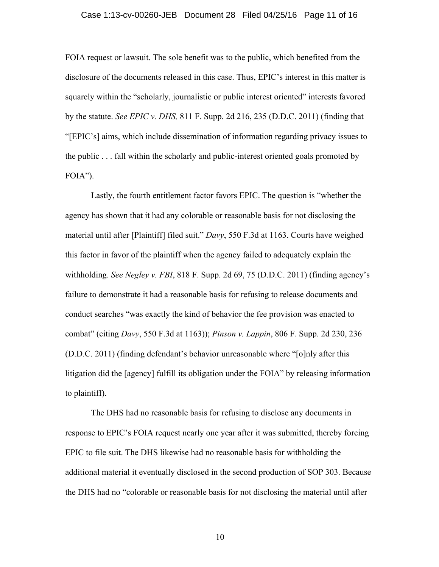## Case 1:13-cv-00260-JEB Document 28 Filed 04/25/16 Page 11 of 16

FOIA request or lawsuit. The sole benefit was to the public, which benefited from the disclosure of the documents released in this case. Thus, EPIC's interest in this matter is squarely within the "scholarly, journalistic or public interest oriented" interests favored by the statute. *See EPIC v. DHS,* 811 F. Supp. 2d 216, 235 (D.D.C. 2011) (finding that "[EPIC's] aims, which include dissemination of information regarding privacy issues to the public . . . fall within the scholarly and public-interest oriented goals promoted by FOIA").

Lastly, the fourth entitlement factor favors EPIC. The question is "whether the agency has shown that it had any colorable or reasonable basis for not disclosing the material until after [Plaintiff] filed suit." *Davy*, 550 F.3d at 1163. Courts have weighed this factor in favor of the plaintiff when the agency failed to adequately explain the withholding. *See Negley v. FBI*, 818 F. Supp. 2d 69, 75 (D.D.C. 2011) (finding agency's failure to demonstrate it had a reasonable basis for refusing to release documents and conduct searches "was exactly the kind of behavior the fee provision was enacted to combat" (citing *Davy*, 550 F.3d at 1163)); *Pinson v. Lappin*, 806 F. Supp. 2d 230, 236 (D.D.C. 2011) (finding defendant's behavior unreasonable where "[o]nly after this litigation did the [agency] fulfill its obligation under the FOIA" by releasing information to plaintiff).

The DHS had no reasonable basis for refusing to disclose any documents in response to EPIC's FOIA request nearly one year after it was submitted, thereby forcing EPIC to file suit. The DHS likewise had no reasonable basis for withholding the additional material it eventually disclosed in the second production of SOP 303. Because the DHS had no "colorable or reasonable basis for not disclosing the material until after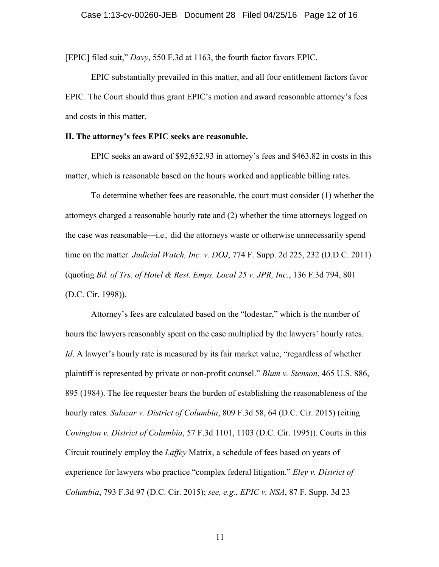[EPIC] filed suit," *Davy*, 550 F.3d at 1163, the fourth factor favors EPIC.

EPIC substantially prevailed in this matter, and all four entitlement factors favor EPIC. The Court should thus grant EPIC's motion and award reasonable attorney's fees and costs in this matter.

#### **II. The attorney's fees EPIC seeks are reasonable.**

EPIC seeks an award of \$92,652.93 in attorney's fees and \$463.82 in costs in this matter, which is reasonable based on the hours worked and applicable billing rates.

To determine whether fees are reasonable, the court must consider (1) whether the attorneys charged a reasonable hourly rate and (2) whether the time attorneys logged on the case was reasonable—i.e.*,* did the attorneys waste or otherwise unnecessarily spend time on the matter. *Judicial Watch, Inc. v. DOJ*, 774 F. Supp. 2d 225, 232 (D.D.C. 2011) (quoting *Bd. of Trs. of Hotel & Rest. Emps. Local 25 v. JPR, Inc.*, 136 F.3d 794, 801 (D.C. Cir. 1998)).

Attorney's fees are calculated based on the "lodestar," which is the number of hours the lawyers reasonably spent on the case multiplied by the lawyers' hourly rates. *Id*. A lawyer's hourly rate is measured by its fair market value, "regardless of whether plaintiff is represented by private or non-profit counsel." *Blum v. Stenson*, 465 U.S. 886, 895 (1984). The fee requester bears the burden of establishing the reasonableness of the hourly rates. *Salazar v. District of Columbia*, 809 F.3d 58, 64 (D.C. Cir. 2015) (citing *Covington v. District of Columbia*, 57 F.3d 1101, 1103 (D.C. Cir. 1995)). Courts in this Circuit routinely employ the *Laffey* Matrix, a schedule of fees based on years of experience for lawyers who practice "complex federal litigation." *Eley v. District of Columbia*, 793 F.3d 97 (D.C. Cir. 2015); *see, e.g.*, *EPIC v. NSA*, 87 F. Supp. 3d 23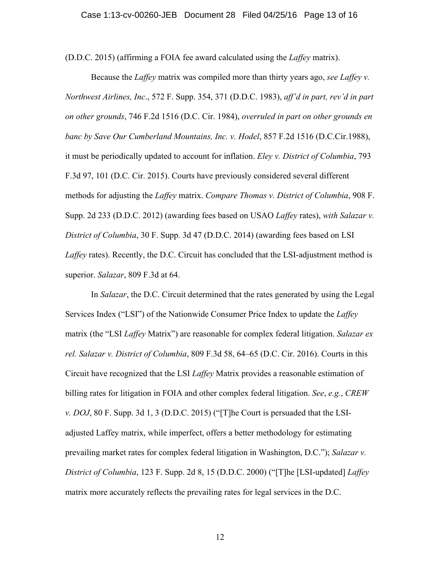(D.D.C. 2015) (affirming a FOIA fee award calculated using the *Laffey* matrix).

Because the *Laffey* matrix was compiled more than thirty years ago, *see Laffey v. Northwest Airlines, Inc*., 572 F. Supp. 354, 371 (D.D.C. 1983), *aff'd in part, rev'd in part on other grounds*, 746 F.2d 1516 (D.C. Cir. 1984), *overruled in part on other grounds en banc by Save Our Cumberland Mountains, Inc. v. Hodel*, 857 F.2d 1516 (D.C.Cir.1988), it must be periodically updated to account for inflation. *Eley v. District of Columbia*, 793 F.3d 97, 101 (D.C. Cir. 2015). Courts have previously considered several different methods for adjusting the *Laffey* matrix. *Compare Thomas v. District of Columbia*, 908 F. Supp. 2d 233 (D.D.C. 2012) (awarding fees based on USAO *Laffey* rates), *with Salazar v. District of Columbia*, 30 F. Supp. 3d 47 (D.D.C. 2014) (awarding fees based on LSI *Laffey* rates). Recently, the D.C. Circuit has concluded that the LSI-adjustment method is superior. *Salazar*, 809 F.3d at 64.

In *Salazar*, the D.C. Circuit determined that the rates generated by using the Legal Services Index ("LSI") of the Nationwide Consumer Price Index to update the *Laffey*  matrix (the "LSI *Laffey* Matrix") are reasonable for complex federal litigation. *Salazar ex rel. Salazar v. District of Columbia*, 809 F.3d 58, 64–65 (D.C. Cir. 2016). Courts in this Circuit have recognized that the LSI *Laffey* Matrix provides a reasonable estimation of billing rates for litigation in FOIA and other complex federal litigation. *See*, *e.g.*, *CREW v. DOJ*, 80 F. Supp. 3d 1, 3 (D.D.C. 2015) ("[T]he Court is persuaded that the LSIadjusted Laffey matrix, while imperfect, offers a better methodology for estimating prevailing market rates for complex federal litigation in Washington, D.C."); *Salazar v. District of Columbia*, 123 F. Supp. 2d 8, 15 (D.D.C. 2000) ("[T]he [LSI-updated] *Laffey* matrix more accurately reflects the prevailing rates for legal services in the D.C.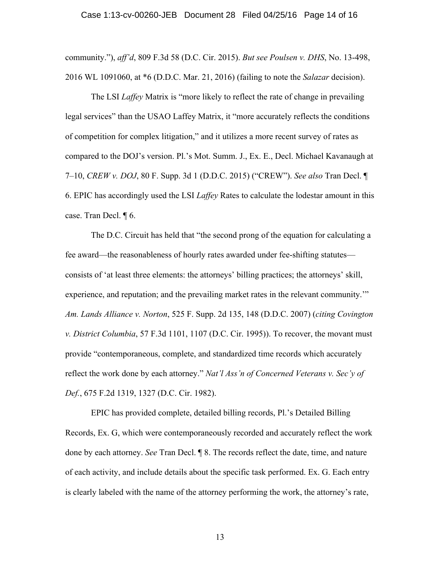community."), *aff'd*, 809 F.3d 58 (D.C. Cir. 2015). *But see Poulsen v. DHS*, No. 13-498, 2016 WL 1091060, at \*6 (D.D.C. Mar. 21, 2016) (failing to note the *Salazar* decision).

The LSI *Laffey* Matrix is "more likely to reflect the rate of change in prevailing legal services" than the USAO Laffey Matrix, it "more accurately reflects the conditions of competition for complex litigation," and it utilizes a more recent survey of rates as compared to the DOJ's version. Pl.'s Mot. Summ. J., Ex. E., Decl. Michael Kavanaugh at 7–10, *CREW v. DOJ*, 80 F. Supp. 3d 1 (D.D.C. 2015) ("CREW"). *See also* Tran Decl. ¶ 6. EPIC has accordingly used the LSI *Laffey* Rates to calculate the lodestar amount in this case. Tran Decl. ¶ 6.

The D.C. Circuit has held that "the second prong of the equation for calculating a fee award—the reasonableness of hourly rates awarded under fee-shifting statutes consists of 'at least three elements: the attorneys' billing practices; the attorneys' skill, experience, and reputation; and the prevailing market rates in the relevant community.'" *Am. Lands Alliance v. Norton*, 525 F. Supp. 2d 135, 148 (D.D.C. 2007) (*citing Covington v. District Columbia*, 57 F.3d 1101, 1107 (D.C. Cir. 1995)). To recover, the movant must provide "contemporaneous, complete, and standardized time records which accurately reflect the work done by each attorney." *Nat'l Ass'n of Concerned Veterans v. Sec'y of Def.*, 675 F.2d 1319, 1327 (D.C. Cir. 1982).

EPIC has provided complete, detailed billing records, Pl.'s Detailed Billing Records, Ex. G, which were contemporaneously recorded and accurately reflect the work done by each attorney. *See* Tran Decl. ¶ 8. The records reflect the date, time, and nature of each activity, and include details about the specific task performed. Ex. G. Each entry is clearly labeled with the name of the attorney performing the work, the attorney's rate,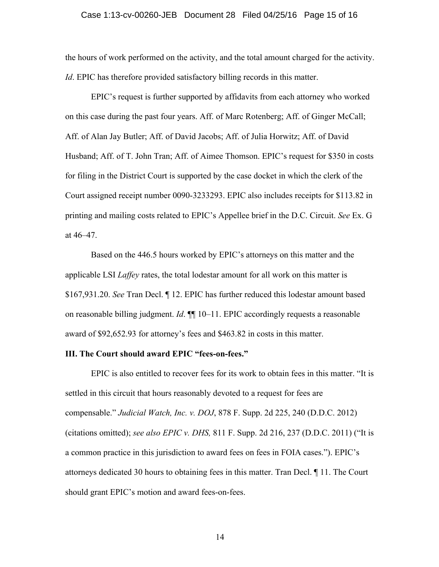### Case 1:13-cv-00260-JEB Document 28 Filed 04/25/16 Page 15 of 16

the hours of work performed on the activity, and the total amount charged for the activity. *Id*. EPIC has therefore provided satisfactory billing records in this matter.

EPIC's request is further supported by affidavits from each attorney who worked on this case during the past four years. Aff. of Marc Rotenberg; Aff. of Ginger McCall; Aff. of Alan Jay Butler; Aff. of David Jacobs; Aff. of Julia Horwitz; Aff. of David Husband; Aff. of T. John Tran; Aff. of Aimee Thomson. EPIC's request for \$350 in costs for filing in the District Court is supported by the case docket in which the clerk of the Court assigned receipt number 0090-3233293. EPIC also includes receipts for \$113.82 in printing and mailing costs related to EPIC's Appellee brief in the D.C. Circuit. *See* Ex. G at 46–47.

Based on the 446.5 hours worked by EPIC's attorneys on this matter and the applicable LSI *Laffey* rates, the total lodestar amount for all work on this matter is \$167,931.20. *See* Tran Decl. ¶ 12. EPIC has further reduced this lodestar amount based on reasonable billing judgment. *Id*. ¶¶ 10–11. EPIC accordingly requests a reasonable award of \$92,652.93 for attorney's fees and \$463.82 in costs in this matter.

## **III. The Court should award EPIC "fees-on-fees."**

EPIC is also entitled to recover fees for its work to obtain fees in this matter. "It is settled in this circuit that hours reasonably devoted to a request for fees are compensable." *Judicial Watch, Inc. v. DOJ*, 878 F. Supp. 2d 225, 240 (D.D.C. 2012) (citations omitted); *see also EPIC v. DHS,* 811 F. Supp. 2d 216, 237 (D.D.C. 2011) ("It is a common practice in this jurisdiction to award fees on fees in FOIA cases."). EPIC's attorneys dedicated 30 hours to obtaining fees in this matter. Tran Decl. ¶ 11. The Court should grant EPIC's motion and award fees-on-fees.